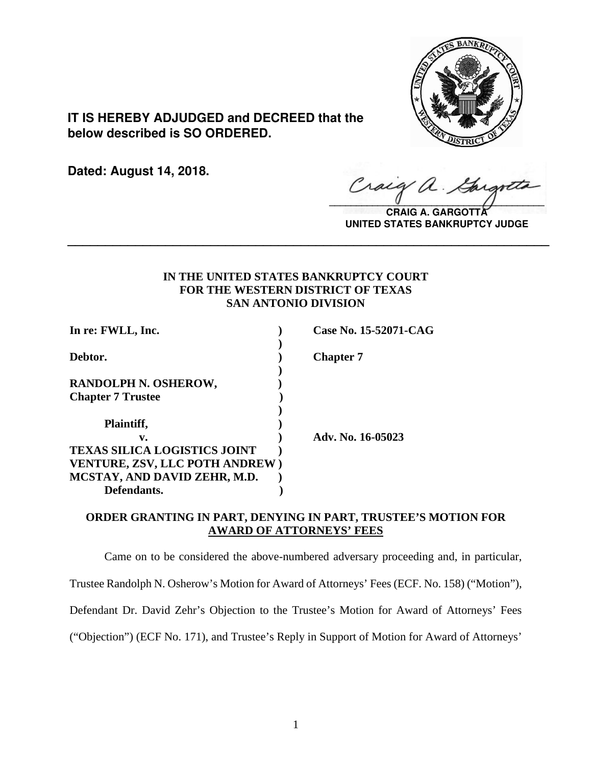

**IT IS HEREBY ADJUDGED and DECREED that the below described is SO ORDERED.**

**Dated: August 14, 2018.**

 $\sqrt{2}$ 

**CRAIG A. GARGOTT UNITED STATES BANKRUPTCY JUDGE**

# **IN THE UNITED STATES BANKRUPTCY COURT FOR THE WESTERN DISTRICT OF TEXAS SAN ANTONIO DIVISION**

**\_\_\_\_\_\_\_\_\_\_\_\_\_\_\_\_\_\_\_\_\_\_\_\_\_\_\_\_\_\_\_\_\_\_\_\_\_\_\_\_\_\_\_\_\_\_\_\_\_\_\_\_\_\_\_\_\_\_\_\_\_\_\_\_**

| In re: FWLL, Inc.                                                     | Case No. 15-52071-CAG |
|-----------------------------------------------------------------------|-----------------------|
| Debtor.                                                               | <b>Chapter</b> 7      |
| <b>RANDOLPH N. OSHEROW,</b>                                           |                       |
| <b>Chapter 7 Trustee</b>                                              |                       |
| Plaintiff,                                                            |                       |
| v.                                                                    | Adv. No. 16-05023     |
| <b>TEXAS SILICA LOGISTICS JOINT</b>                                   |                       |
| <b>VENTURE, ZSV, LLC POTH ANDREW)</b><br>MCSTAY, AND DAVID ZEHR, M.D. |                       |
| Defendants.                                                           |                       |

## **ORDER GRANTING IN PART, DENYING IN PART, TRUSTEE'S MOTION FOR AWARD OF ATTORNEYS' FEES**

Came on to be considered the above-numbered adversary proceeding and, in particular,

Trustee Randolph N. Osherow's Motion for Award of Attorneys' Fees (ECF. No. 158) ("Motion"),

Defendant Dr. David Zehr's Objection to the Trustee's Motion for Award of Attorneys' Fees

("Objection") (ECF No. 171), and Trustee's Reply in Support of Motion for Award of Attorneys'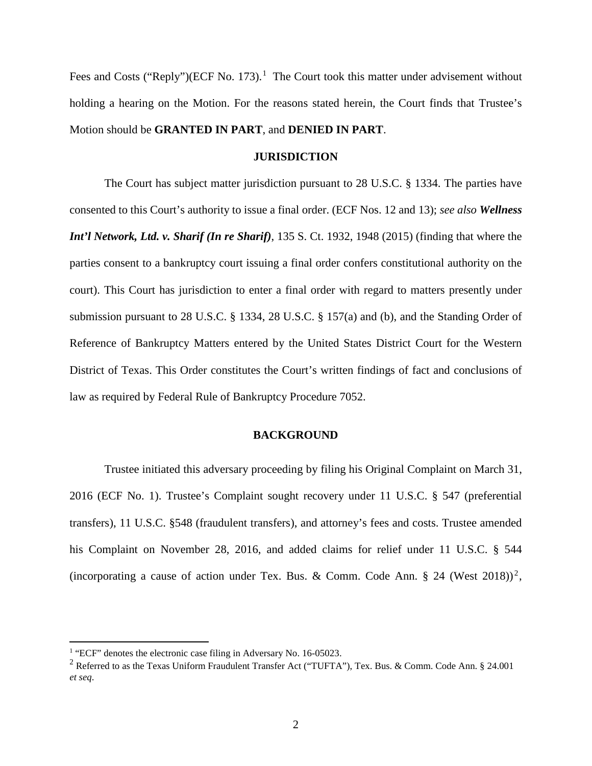Fees and Costs ("Reply")(ECF No. [1](#page-1-0)73).<sup>1</sup> The Court took this matter under advisement without holding a hearing on the Motion. For the reasons stated herein, the Court finds that Trustee's Motion should be **GRANTED IN PART**, and **DENIED IN PART**.

#### **JURISDICTION**

The Court has subject matter jurisdiction pursuant to 28 U.S.C. § 1334. The parties have consented to this Court's authority to issue a final order. (ECF Nos. 12 and 13); *see also Wellness Int'l Network, Ltd. v. Sharif (In re Sharif)*, 135 S. Ct. 1932, 1948 (2015) (finding that where the parties consent to a bankruptcy court issuing a final order confers constitutional authority on the court). This Court has jurisdiction to enter a final order with regard to matters presently under submission pursuant to 28 [U.S.C.](https://1.next.westlaw.com/Link/Document/FullText?findType=L&pubNum=1000546&cite=28USCAS1334&originatingDoc=I0d78134ea25011de9988d233d23fe599&refType=RB&originationContext=document&transitionType=DocumentItem&contextData=(sc.Search)%23co_pp_8b3b0000958a4) § 1334, 28 U.S.C. § 157(a) and (b), and the Standing Order of Reference of Bankruptcy Matters entered by the United States District Court for the Western District of Texas. This Order constitutes the Court's written findings of fact and conclusions of law as required by Federal Rule of Bankruptcy Procedure 7052.

#### **BACKGROUND**

Trustee initiated this adversary proceeding by filing his Original Complaint on March 31, 2016 (ECF No. 1). Trustee's Complaint sought recovery under 11 U.S.C. § 547 (preferential transfers), 11 U.S.C. §548 (fraudulent transfers), and attorney's fees and costs. Trustee amended his Complaint on November 28, 2016, and added claims for relief under 11 U.S.C. § 544 (incorporating a cause of action under Tex. Bus. & Comm. Code Ann. § [2](#page-1-1)4 (West 2018))<sup>2</sup>,

<span id="page-1-0"></span><sup>&</sup>lt;sup>1</sup> "ECF" denotes the electronic case filing in Adversary No. 16-05023.

<span id="page-1-1"></span><sup>&</sup>lt;sup>2</sup> Referred to as the Texas Uniform Fraudulent Transfer Act ("TUFTA"), Tex. Bus. & Comm. Code Ann. § 24.001 *et seq*.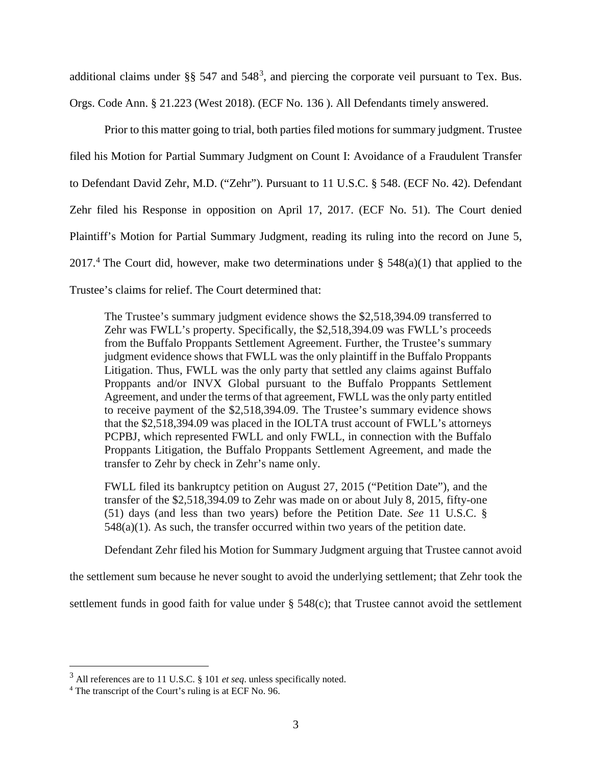additional claims under §§ 547 and 548<sup>[3](#page-2-0)</sup>, and piercing the corporate veil pursuant to Tex. Bus. Orgs. Code Ann. § 21.223 (West 2018). (ECF No. 136 ). All Defendants timely answered.

Prior to this matter going to trial, both parties filed motions for summary judgment. Trustee filed his Motion for Partial Summary Judgment on Count I: Avoidance of a Fraudulent Transfer to Defendant David Zehr, M.D. ("Zehr"). Pursuant to 11 U.S.C. § 548. (ECF No. 42). Defendant Zehr filed his Response in opposition on April 17, 2017. (ECF No. 51). The Court denied Plaintiff's Motion for Partial Summary Judgment, reading its ruling into the record on June 5, 2017.<sup>[4](#page-2-1)</sup> The Court did, however, make two determinations under  $\S$  548(a)(1) that applied to the Trustee's claims for relief. The Court determined that:

The Trustee's summary judgment evidence shows the \$2,518,394.09 transferred to Zehr was FWLL's property. Specifically, the \$2,518,394.09 was FWLL's proceeds from the Buffalo Proppants Settlement Agreement. Further, the Trustee's summary judgment evidence shows that FWLL was the only plaintiff in the Buffalo Proppants Litigation. Thus, FWLL was the only party that settled any claims against Buffalo Proppants and/or INVX Global pursuant to the Buffalo Proppants Settlement Agreement, and under the terms of that agreement, FWLL wasthe only party entitled to receive payment of the \$2,518,394.09. The Trustee's summary evidence shows that the \$2,518,394.09 was placed in the IOLTA trust account of FWLL's attorneys PCPBJ, which represented FWLL and only FWLL, in connection with the Buffalo Proppants Litigation, the Buffalo Proppants Settlement Agreement, and made the transfer to Zehr by check in Zehr's name only.

FWLL filed its bankruptcy petition on August 27, 2015 ("Petition Date"), and the transfer of the \$2,518,394.09 to Zehr was made on or about July 8, 2015, fifty-one (51) days (and less than two years) before the Petition Date. *See* 11 U.S.C. §  $548(a)(1)$ . As such, the transfer occurred within two years of the petition date.

Defendant Zehr filed his Motion for Summary Judgment arguing that Trustee cannot avoid

the settlement sum because he never sought to avoid the underlying settlement; that Zehr took the

settlement funds in good faith for value under § 548(c); that Trustee cannot avoid the settlement

<span id="page-2-0"></span> <sup>3</sup> All references are to <sup>11</sup> U.S.C. § <sup>101</sup> *et seq*. unless specifically noted.

<span id="page-2-1"></span><sup>4</sup> The transcript of the Court's ruling is at ECF No. 96.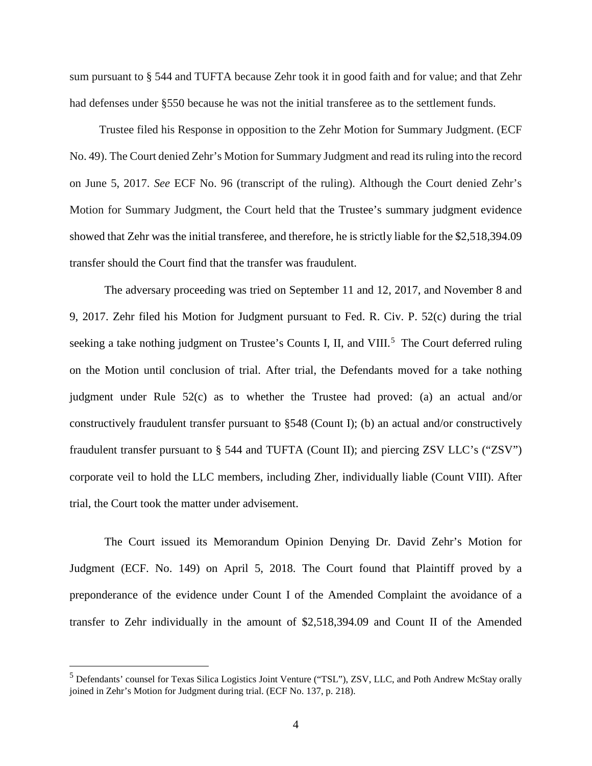sum pursuant to § 544 and TUFTA because Zehr took it in good faith and for value; and that Zehr had defenses under §550 because he was not the initial transferee as to the settlement funds.

Trustee filed his Response in opposition to the Zehr Motion for Summary Judgment. (ECF No. 49). The Court denied Zehr's Motion for Summary Judgment and read itsruling into the record on June 5, 2017. *See* ECF No. 96 (transcript of the ruling). Although the Court denied Zehr's Motion for Summary Judgment, the Court held that the Trustee's summary judgment evidence showed that Zehr was the initial transferee, and therefore, he is strictly liable for the \$2,518,394.09 transfer should the Court find that the transfer was fraudulent.

The adversary proceeding was tried on September 11 and 12, 2017, and November 8 and 9, 2017. Zehr filed his Motion for Judgment pursuant to Fed. R. Civ. P. 52(c) during the trial seeking a take nothing judgment on Trustee's Counts I, II, and VIII.<sup>[5](#page-3-0)</sup> The Court deferred ruling on the Motion until conclusion of trial. After trial, the Defendants moved for a take nothing judgment under Rule 52(c) as to whether the Trustee had proved: (a) an actual and/or constructively fraudulent transfer pursuant to §548 (Count I); (b) an actual and/or constructively fraudulent transfer pursuant to § 544 and TUFTA (Count II); and piercing ZSV LLC's ("ZSV") corporate veil to hold the LLC members, including Zher, individually liable (Count VIII). After trial, the Court took the matter under advisement.

The Court issued its Memorandum Opinion Denying Dr. David Zehr's Motion for Judgment (ECF. No. 149) on April 5, 2018. The Court found that Plaintiff proved by a preponderance of the evidence under Count I of the Amended Complaint the avoidance of a transfer to Zehr individually in the amount of \$2,518,394.09 and Count II of the Amended

<span id="page-3-0"></span><sup>&</sup>lt;sup>5</sup> Defendants' counsel for Texas Silica Logistics Joint Venture ("TSL"), ZSV, LLC, and Poth Andrew McStay orally joined in Zehr's Motion for Judgment during trial. (ECF No. 137, p. 218).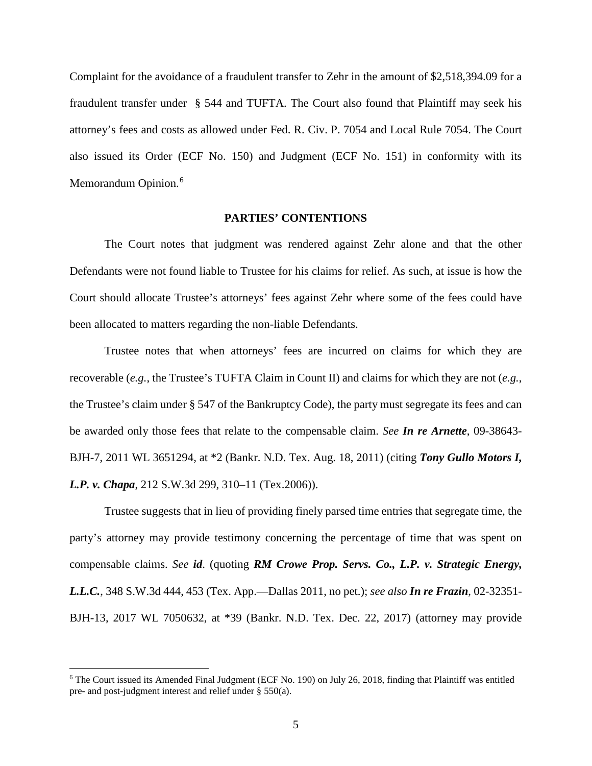Complaint for the avoidance of a fraudulent transfer to Zehr in the amount of \$2,518,394.09 for a fraudulent transfer under § 544 and TUFTA. The Court also found that Plaintiff may seek his attorney's fees and costs as allowed under Fed. R. Civ. P. 7054 and Local Rule 7054. The Court also issued its Order (ECF No. 150) and Judgment (ECF No. 151) in conformity with its Memorandum Opinion.<sup>[6](#page-4-0)</sup>

### **PARTIES' CONTENTIONS**

The Court notes that judgment was rendered against Zehr alone and that the other Defendants were not found liable to Trustee for his claims for relief. As such, at issue is how the Court should allocate Trustee's attorneys' fees against Zehr where some of the fees could have been allocated to matters regarding the non-liable Defendants.

Trustee notes that when attorneys' fees are incurred on claims for which they are recoverable (*e.g.*, the Trustee's TUFTA Claim in Count II) and claims for which they are not (*e.g.*, the Trustee's claim under § 547 of the Bankruptcy Code), the party must segregate its fees and can be awarded only those fees that relate to the compensable claim. *See In re Arnette*, 09-38643- BJH-7, 2011 WL 3651294, at \*2 (Bankr. N.D. Tex. Aug. 18, 2011) (citing *Tony Gullo Motors I, L.P. v. Chapa*, 212 S.W.3d 299, 310–11 (Tex.2006)).

Trustee suggests that in lieu of providing finely parsed time entries that segregate time, the party's attorney may provide testimony concerning the percentage of time that was spent on compensable claims. *See id*. (quoting *RM Crowe Prop. Servs. Co., L.P. v. Strategic Energy, L.L.C.*, 348 S.W.3d 444, 453 (Tex. App.—Dallas 2011, no pet.); *see also In re Frazin*, 02-32351- BJH-13, 2017 WL 7050632, at \*39 (Bankr. N.D. Tex. Dec. 22, 2017) (attorney may provide

<span id="page-4-0"></span> $6$  The Court issued its Amended Final Judgment (ECF No. 190) on July 26, 2018, finding that Plaintiff was entitled pre- and post-judgment interest and relief under § 550(a).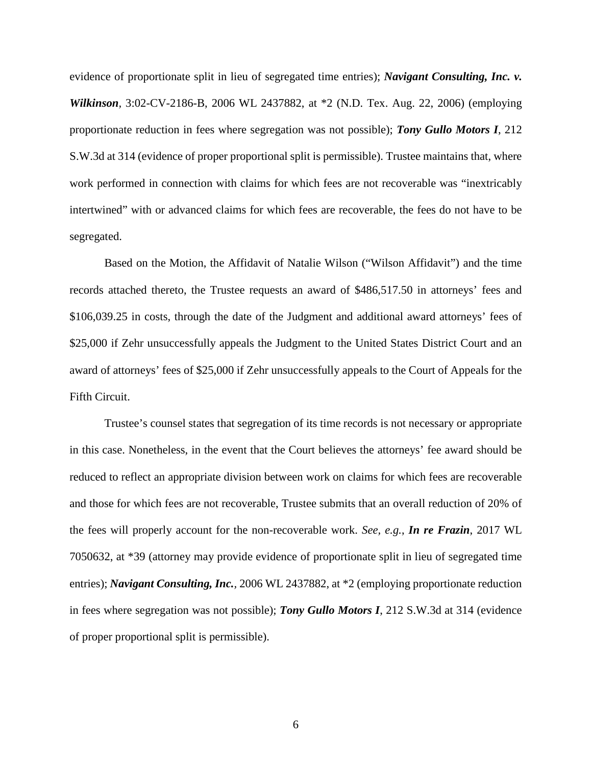evidence of proportionate split in lieu of segregated time entries); *Navigant Consulting, Inc. v. Wilkinson,* 3:02-CV-2186-B, 2006 WL 2437882, at \*2 (N.D. Tex. Aug. 22, 2006) (employing proportionate reduction in fees where segregation was not possible); *Tony Gullo Motors I*, 212 S.W.3d at 314 (evidence of proper proportional split is permissible). Trustee maintains that, where work performed in connection with claims for which fees are not recoverable was "inextricably intertwined" with or advanced claims for which fees are recoverable, the fees do not have to be segregated.

Based on the Motion, the Affidavit of Natalie Wilson ("Wilson Affidavit") and the time records attached thereto, the Trustee requests an award of \$486,517.50 in attorneys' fees and \$106,039.25 in costs, through the date of the Judgment and additional award attorneys' fees of \$25,000 if Zehr unsuccessfully appeals the Judgment to the United States District Court and an award of attorneys' fees of \$25,000 if Zehr unsuccessfully appeals to the Court of Appeals for the Fifth Circuit.

Trustee's counsel states that segregation of its time records is not necessary or appropriate in this case. Nonetheless, in the event that the Court believes the attorneys' fee award should be reduced to reflect an appropriate division between work on claims for which fees are recoverable and those for which fees are not recoverable, Trustee submits that an overall reduction of 20% of the fees will properly account for the non-recoverable work. *See, e.g.*, *In re Frazin*, 2017 WL 7050632, at \*39 (attorney may provide evidence of proportionate split in lieu of segregated time entries); *Navigant Consulting, Inc.,* 2006 WL 2437882, at \*2 (employing proportionate reduction in fees where segregation was not possible); *Tony Gullo Motors I*, 212 S.W.3d at 314 (evidence of proper proportional split is permissible).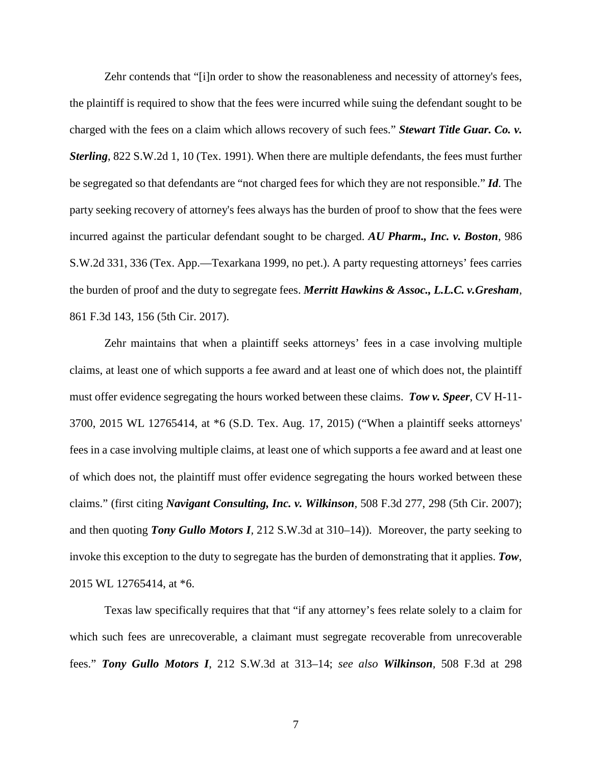Zehr contends that "[i]n order to show the reasonableness and necessity of attorney's fees, the plaintiff is required to show that the fees were incurred while suing the defendant sought to be charged with the fees on a claim which allows recovery of such fees." *Stewart Title Guar. Co. v. Sterling*, 822 S.W.2d 1, 10 (Tex. 1991). When there are multiple defendants, the fees must further be segregated so that defendants are "not charged fees for which they are not responsible." *Id*. The party seeking recovery of attorney's fees always has the burden of proof to show that the fees were incurred against the particular defendant sought to be charged. *AU Pharm., Inc. v. Boston*, 986 S.W.2d 331, 336 (Tex. App.—Texarkana 1999, no pet.). A party requesting attorneys' fees carries the burden of proof and the duty to segregate fees. *Merritt Hawkins & Assoc., L.L.C. v.Gresham*, 861 F.3d 143, 156 (5th Cir. 2017).

Zehr maintains that when a plaintiff seeks attorneys' fees in a case involving multiple claims, at least one of which supports a fee award and at least one of which does not, the plaintiff must offer evidence segregating the hours worked between these claims. *Tow v. Speer*, CV H-11- 3700, 2015 WL 12765414, at \*6 (S.D. Tex. Aug. 17, 2015) ("When a plaintiff seeks attorneys' fees in a case involving multiple claims, at least one of which supports a fee award and at least one of which does not, the plaintiff must offer evidence segregating the hours worked between these claims." (first citing *Navigant Consulting, Inc. v. Wilkinson,* 508 F.3d 277, 298 (5th Cir. 2007); and then quoting *Tony Gullo Motors I,* 212 S.W.3d at 310–14)). Moreover, the party seeking to invoke this exception to the duty to segregate has the burden of demonstrating that it applies. *Tow*, 2015 WL 12765414, at \*6.

Texas law specifically requires that that "if any attorney's fees relate solely to a claim for which such fees are unrecoverable, a claimant must segregate recoverable from unrecoverable fees." *Tony Gullo Motors I*, 212 S.W.3d at 313–14; *see also Wilkinson,* 508 F.3d at 298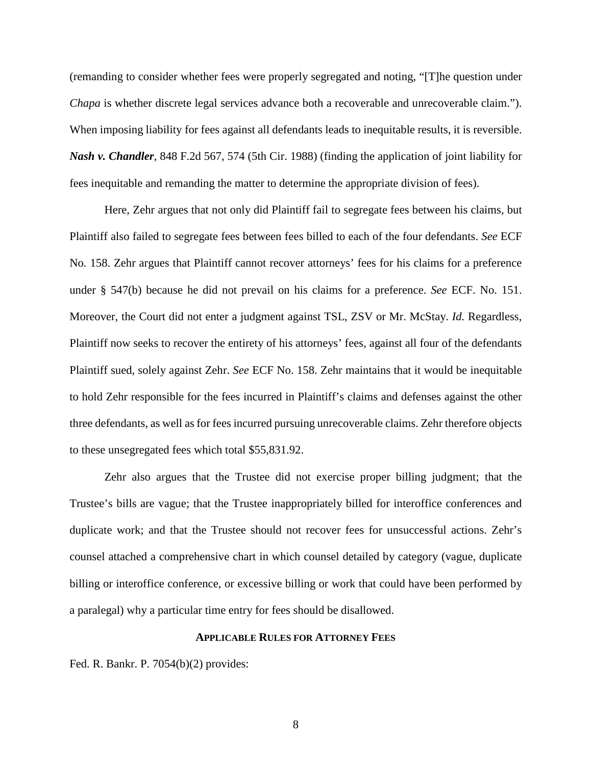(remanding to consider whether fees were properly segregated and noting, "[T]he question under *Chapa* is whether discrete legal services advance both a recoverable and unrecoverable claim."). When imposing liability for fees against all defendants leads to inequitable results, it is reversible. *Nash v. Chandler*, 848 F.2d 567, 574 (5th Cir. 1988) (finding the application of joint liability for fees inequitable and remanding the matter to determine the appropriate division of fees).

Here, Zehr argues that not only did Plaintiff fail to segregate fees between his claims, but Plaintiff also failed to segregate fees between fees billed to each of the four defendants. *See* ECF No*.* 158. Zehr argues that Plaintiff cannot recover attorneys' fees for his claims for a preference under § 547(b) because he did not prevail on his claims for a preference. *See* ECF. No. 151. Moreover, the Court did not enter a judgment against TSL, ZSV or Mr. McStay. *Id.* Regardless, Plaintiff now seeks to recover the entirety of his attorneys' fees, against all four of the defendants Plaintiff sued, solely against Zehr. *See* ECF No. 158. Zehr maintains that it would be inequitable to hold Zehr responsible for the fees incurred in Plaintiff's claims and defenses against the other three defendants, as well as for fees incurred pursuing unrecoverable claims. Zehr therefore objects to these unsegregated fees which total \$55,831.92.

Zehr also argues that the Trustee did not exercise proper billing judgment; that the Trustee's bills are vague; that the Trustee inappropriately billed for interoffice conferences and duplicate work; and that the Trustee should not recover fees for unsuccessful actions. Zehr's counsel attached a comprehensive chart in which counsel detailed by category (vague, duplicate billing or interoffice conference, or excessive billing or work that could have been performed by a paralegal) why a particular time entry for fees should be disallowed.

#### **APPLICABLE RULES FOR ATTORNEY FEES**

Fed. R. Bankr. P. 7054(b)(2) provides: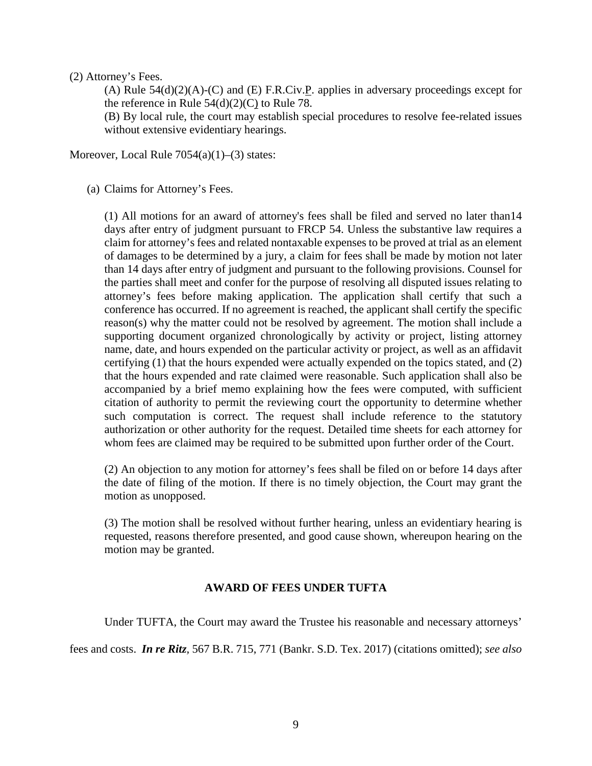### (2) Attorney's Fees.

(A) Rule  $54(d)(2)(A)-(C)$  and (E) F.R.Civ. P. applies in adversary proceedings except for the reference in [Rule](https://1.next.westlaw.com/Link/Document/FullText?findType=L&pubNum=1000600&cite=USFRCPR78&originatingDoc=N78DEFC60B89F11D8983DF34406B5929B&refType=LQ&originationContext=document&transitionType=DocumentItem&contextData=(sc.DocLink))  $54(d)(2)(C)$  to Rule 78.

(B) By local rule, the court may establish special procedures to resolve fee-related issues without extensive evidentiary hearings.

Moreover, Local Rule 7054(a)(1)–(3) states:

(a) Claims for Attorney's Fees.

(1) All motions for an award of attorney's fees shall be filed and served no later than14 days after entry of judgment pursuant to FRCP 54. Unless the substantive law requires a claim for attorney's fees and related nontaxable expenses to be proved at trial as an element of damages to be determined by a jury, a claim for fees shall be made by motion not later than 14 days after entry of judgment and pursuant to the following provisions. Counsel for the parties shall meet and confer for the purpose of resolving all disputed issues relating to attorney's fees before making application. The application shall certify that such a conference has occurred. If no agreement is reached, the applicant shall certify the specific reason(s) why the matter could not be resolved by agreement. The motion shall include a supporting document organized chronologically by activity or project, listing attorney name, date, and hours expended on the particular activity or project, as well as an affidavit certifying (1) that the hours expended were actually expended on the topics stated, and (2) that the hours expended and rate claimed were reasonable. Such application shall also be accompanied by a brief memo explaining how the fees were computed, with sufficient citation of authority to permit the reviewing court the opportunity to determine whether such computation is correct. The request shall include reference to the statutory authorization or other authority for the request. Detailed time sheets for each attorney for whom fees are claimed may be required to be submitted upon further order of the Court.

(2) An objection to any motion for attorney's fees shall be filed on or before 14 days after the date of filing of the motion. If there is no timely objection, the Court may grant the motion as unopposed.

(3) The motion shall be resolved without further hearing, unless an evidentiary hearing is requested, reasons therefore presented, and good cause shown, whereupon hearing on the motion may be granted.

## **AWARD OF FEES UNDER TUFTA**

Under TUFTA, the Court may award the Trustee his reasonable and necessary attorneys'

fees and costs. *In re Ritz,* 567 B.R. 715, 771 (Bankr. S.D. Tex. 2017) (citations omitted); *see also*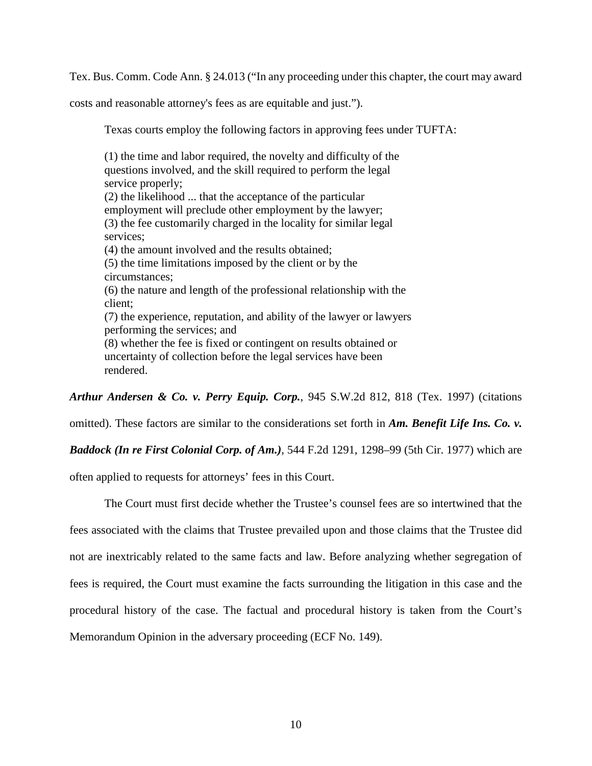Tex. Bus. Comm. Code Ann. § 24.013 ("In any proceeding under this chapter, the court may award

costs and reasonable attorney's fees as are equitable and just.").

Texas courts employ the following factors in approving fees under TUFTA:

(1) the time and labor required, the novelty and difficulty of the questions involved, and the skill required to perform the legal service properly; (2) the likelihood ... that the acceptance of the particular employment will preclude other employment by the lawyer; (3) the fee customarily charged in the locality for similar legal services; (4) the amount involved and the results obtained; (5) the time limitations imposed by the client or by the circumstances; (6) the nature and length of the professional relationship with the client; (7) the experience, reputation, and ability of the lawyer or lawyers performing the services; and (8) whether the fee is fixed or contingent on results obtained or uncertainty of collection before the legal services have been rendered.

*Arthur Andersen & Co. v. Perry Equip. Corp.*, 945 S.W.2d 812, 818 (Tex. 1997) (citations

omitted). These factors are similar to the considerations set forth in *Am. Benefit Life Ins. Co. v.*

*Baddock (In re First Colonial Corp. of Am.)*, 544 F.2d 1291, 1298–99 (5th Cir. 1977) which are

often applied to requests for attorneys' fees in this Court.

The Court must first decide whether the Trustee's counsel fees are so intertwined that the fees associated with the claims that Trustee prevailed upon and those claims that the Trustee did not are inextricably related to the same facts and law. Before analyzing whether segregation of fees is required, the Court must examine the facts surrounding the litigation in this case and the procedural history of the case. The factual and procedural history is taken from the Court's Memorandum Opinion in the adversary proceeding (ECF No. 149).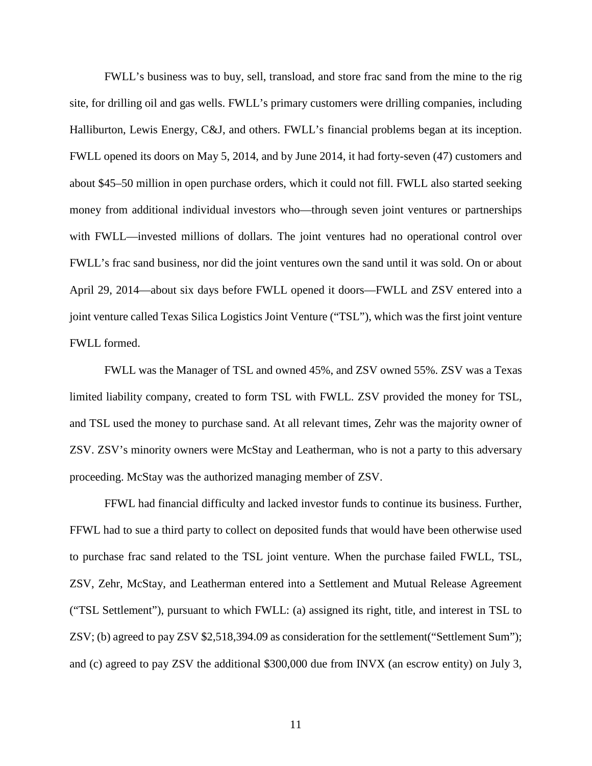FWLL's business was to buy, sell, transload, and store frac sand from the mine to the rig site, for drilling oil and gas wells. FWLL's primary customers were drilling companies, including Halliburton, Lewis Energy, C&J, and others. FWLL's financial problems began at its inception. FWLL opened its doors on May 5, 2014, and by June 2014, it had forty-seven (47) customers and about \$45–50 million in open purchase orders, which it could not fill. FWLL also started seeking money from additional individual investors who—through seven joint ventures or partnerships with FWLL—invested millions of dollars. The joint ventures had no operational control over FWLL's frac sand business, nor did the joint ventures own the sand until it was sold. On or about April 29, 2014—about six days before FWLL opened it doors—FWLL and ZSV entered into a joint venture called Texas Silica Logistics Joint Venture ("TSL"), which was the first joint venture FWLL formed.

FWLL was the Manager of TSL and owned 45%, and ZSV owned 55%. ZSV was a Texas limited liability company, created to form TSL with FWLL. ZSV provided the money for TSL, and TSL used the money to purchase sand. At all relevant times, Zehr was the majority owner of ZSV. ZSV's minority owners were McStay and Leatherman, who is not a party to this adversary proceeding. McStay was the authorized managing member of ZSV.

FFWL had financial difficulty and lacked investor funds to continue its business. Further, FFWL had to sue a third party to collect on deposited funds that would have been otherwise used to purchase frac sand related to the TSL joint venture. When the purchase failed FWLL, TSL, ZSV, Zehr, McStay, and Leatherman entered into a Settlement and Mutual Release Agreement ("TSL Settlement"), pursuant to which FWLL: (a) assigned its right, title, and interest in TSL to ZSV; (b) agreed to pay ZSV \$2,518,394.09 as consideration for the settlement("Settlement Sum"); and (c) agreed to pay ZSV the additional \$300,000 due from INVX (an escrow entity) on July 3,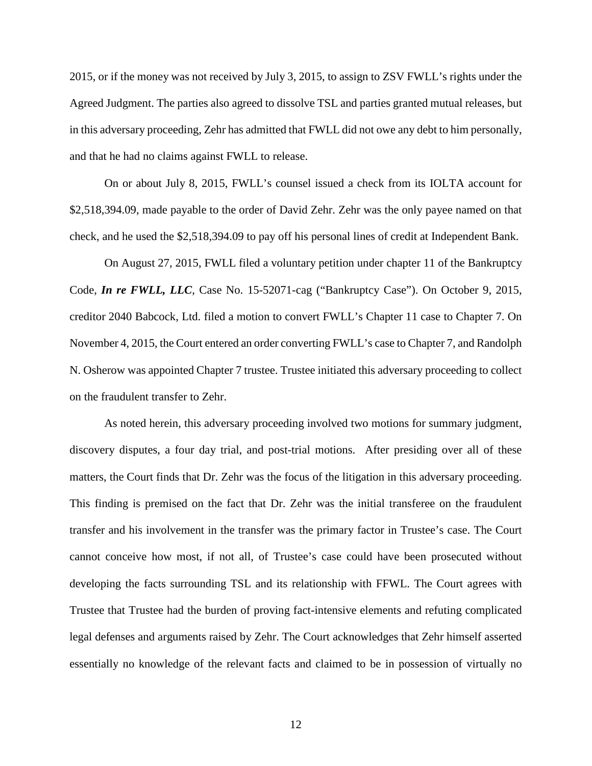2015, or if the money was not received by July 3, 2015, to assign to ZSV FWLL's rights under the Agreed Judgment. The parties also agreed to dissolve TSL and parties granted mutual releases, but in this adversary proceeding, Zehr has admitted that FWLL did not owe any debt to him personally, and that he had no claims against FWLL to release.

On or about July 8, 2015, FWLL's counsel issued a check from its IOLTA account for \$2,518,394.09, made payable to the order of David Zehr. Zehr was the only payee named on that check, and he used the \$2,518,394.09 to pay off his personal lines of credit at Independent Bank.

On August 27, 2015, FWLL filed a voluntary petition under chapter 11 of the Bankruptcy Code, *In re FWLL, LLC*, Case No. 15-52071-cag ("Bankruptcy Case"). On October 9, 2015, creditor 2040 Babcock, Ltd. filed a motion to convert FWLL's Chapter 11 case to Chapter 7. On November 4, 2015, the Court entered an order converting FWLL's case to Chapter 7, and Randolph N. Osherow was appointed Chapter 7 trustee. Trustee initiated this adversary proceeding to collect on the fraudulent transfer to Zehr.

As noted herein, this adversary proceeding involved two motions for summary judgment, discovery disputes, a four day trial, and post-trial motions. After presiding over all of these matters, the Court finds that Dr. Zehr was the focus of the litigation in this adversary proceeding. This finding is premised on the fact that Dr. Zehr was the initial transferee on the fraudulent transfer and his involvement in the transfer was the primary factor in Trustee's case. The Court cannot conceive how most, if not all, of Trustee's case could have been prosecuted without developing the facts surrounding TSL and its relationship with FFWL. The Court agrees with Trustee that Trustee had the burden of proving fact-intensive elements and refuting complicated legal defenses and arguments raised by Zehr. The Court acknowledges that Zehr himself asserted essentially no knowledge of the relevant facts and claimed to be in possession of virtually no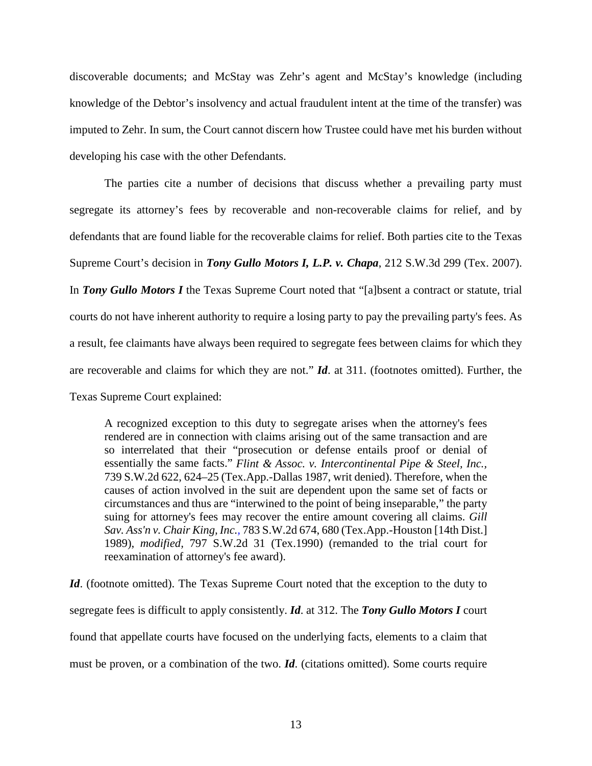discoverable documents; and McStay was Zehr's agent and McStay's knowledge (including knowledge of the Debtor's insolvency and actual fraudulent intent at the time of the transfer) was imputed to Zehr. In sum, the Court cannot discern how Trustee could have met his burden without developing his case with the other Defendants.

The parties cite a number of decisions that discuss whether a prevailing party must segregate its attorney's fees by recoverable and non-recoverable claims for relief, and by defendants that are found liable for the recoverable claims for relief. Both parties cite to the Texas Supreme Court's decision in *Tony Gullo Motors I, L.P. v. Chapa*, 212 S.W.3d 299 (Tex. 2007). In *Tony Gullo Motors I* the Texas Supreme Court noted that "[a]bsent a contract or statute, trial courts do not have inherent authority to require a losing party to pay the prevailing party's fees. As a result, fee claimants have always been required to segregate fees between claims for which they are recoverable and claims for which they are not." *Id*. at 311. (footnotes omitted). Further, the Texas Supreme Court explained:

A recognized exception to this duty to segregate arises when the attorney's fees rendered are in connection with claims arising out of the same transaction and are so interrelated that their "prosecution or defense entails proof or denial of essentially the same facts." *Flint & Assoc. v. [Intercontinental](https://1.next.westlaw.com/Link/Document/FullText?findType=Y&serNum=1987146070&pubNum=0000713&originatingDoc=I8a31bd1491c211db9127cf4cfcf88547&refType=RP&fi=co_pp_sp_713_624&originationContext=document&transitionType=DocumentItem&contextData=(sc.UserEnteredCitation)#co_pp_sp_713_624) Pipe & Steel, Inc.,* 739 S.W.2d 622, 624–25 [\(Tex.App.-Dallas](https://1.next.westlaw.com/Link/Document/FullText?findType=Y&serNum=1987146070&pubNum=0000713&originatingDoc=I8a31bd1491c211db9127cf4cfcf88547&refType=RP&fi=co_pp_sp_713_624&originationContext=document&transitionType=DocumentItem&contextData=(sc.UserEnteredCitation)#co_pp_sp_713_624) 1987, writ denied). Therefore, when the causes of action involved in the suit are dependent upon the same set of facts or circumstances and thus are "interwined to the point of being inseparable," the party suing for attorney's fees may recover the entire amount covering all claims. *[Gill](https://1.next.westlaw.com/Link/Document/FullText?findType=Y&serNum=1989178761&pubNum=0000713&originatingDoc=I8a31bd1491c211db9127cf4cfcf88547&refType=RP&fi=co_pp_sp_713_680&originationContext=document&transitionType=DocumentItem&contextData=(sc.UserEnteredCitation)#co_pp_sp_713_680) Sav. Ass'n v. Chair King, Inc.,* 783 S.W.2d 674, 680 [\(Tex.App.-Houston](https://1.next.westlaw.com/Link/Document/FullText?findType=Y&serNum=1989178761&pubNum=0000713&originatingDoc=I8a31bd1491c211db9127cf4cfcf88547&refType=RP&fi=co_pp_sp_713_680&originationContext=document&transitionType=DocumentItem&contextData=(sc.UserEnteredCitation)#co_pp_sp_713_680) [14th Dist.] [1989\),](https://1.next.westlaw.com/Link/Document/FullText?findType=Y&serNum=1989178761&pubNum=0000713&originatingDoc=I8a31bd1491c211db9127cf4cfcf88547&refType=RP&fi=co_pp_sp_713_680&originationContext=document&transitionType=DocumentItem&contextData=(sc.UserEnteredCitation)#co_pp_sp_713_680) *modified,* 797 S.W.2d 31 [\(Tex.1990\)](https://1.next.westlaw.com/Link/Document/FullText?findType=Y&serNum=1990148373&pubNum=0000713&originatingDoc=I8a31bd1491c211db9127cf4cfcf88547&refType=RP&originationContext=document&transitionType=DocumentItem&contextData=(sc.UserEnteredCitation)) (remanded to the trial court for reexamination of attorney's fee award).

Id. (footnote omitted). The Texas Supreme Court noted that the exception to the duty to segregate fees is difficult to apply consistently. *Id*. at 312. The *Tony Gullo Motors I* court found that appellate courts have focused on the underlying facts, elements to a claim that must be proven, or a combination of the two. *Id*. (citations omitted). Some courts require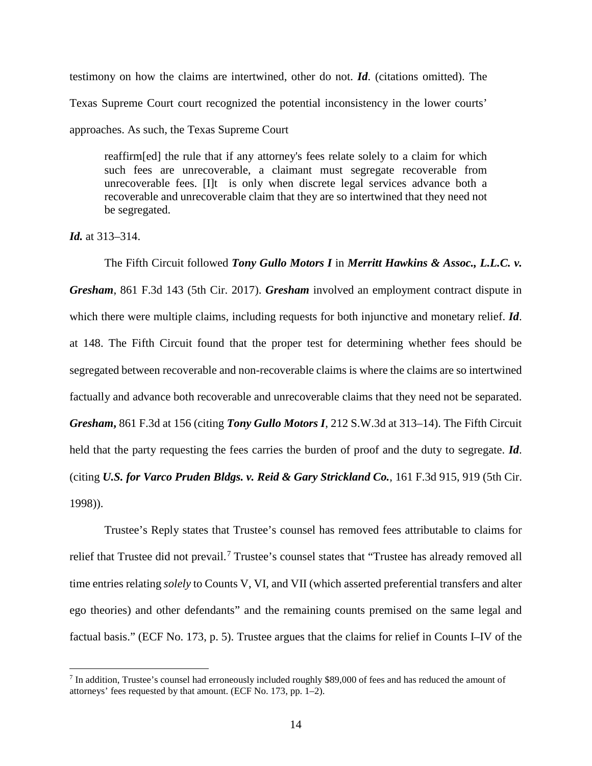testimony on how the claims are intertwined, other do not. *Id*. (citations omitted). The Texas Supreme Court court recognized the potential inconsistency in the lower courts' approaches. As such, the Texas Supreme Court

reaffirm[ed] the rule that if any attorney's fees relate solely to a claim for which such fees are unrecoverable, a claimant must segregate recoverable from unrecoverable fees. [I]t is only when discrete legal services advance both a recoverable and unrecoverable claim that they are so intertwined that they need not be segregated.

*Id.* at 313–314.

The Fifth Circuit followed *Tony Gullo Motors I* in *Merritt Hawkins & Assoc., L.L.C. v. Gresham*, 861 F.3d 143 (5th Cir. 2017). *Gresham* involved an employment contract dispute in which there were multiple claims, including requests for both injunctive and monetary relief. *Id*. at 148. The Fifth Circuit found that the proper test for determining whether fees should be segregated between recoverable and non-recoverable claims is where the claims are so intertwined factually and advance both recoverable and unrecoverable claims that they need not be separated. *Gresham***,** 861 F.3d at 156 (citing *Tony Gullo Motors I*, 212 S.W.3d at 313–14). The Fifth Circuit held that the party requesting the fees carries the burden of proof and the duty to segregate. *Id*. (citing *U.S. for Varco Pruden Bldgs. v. Reid & Gary Strickland Co.*, 161 F.3d 915, 919 (5th Cir. 1998)).

Trustee's Reply states that Trustee's counsel has removed fees attributable to claims for relief that Trustee did not prevail.<sup>[7](#page-13-0)</sup> Trustee's counsel states that "Trustee has already removed all time entries relating *solely* to Counts V, VI, and VII (which asserted preferential transfers and alter ego theories) and other defendants" and the remaining counts premised on the same legal and factual basis." (ECF No. 173, p. 5). Trustee argues that the claims for relief in Counts I–IV of the

<span id="page-13-0"></span> <sup>7</sup> In addition, Trustee's counsel had erroneously included roughly \$89,000 of fees and has reduced the amount of attorneys' fees requested by that amount. (ECF No. 173, pp. 1–2).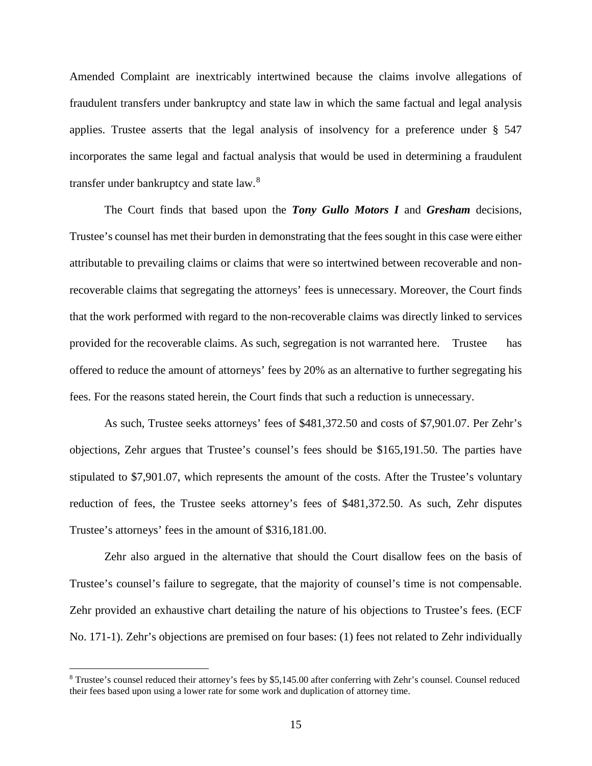Amended Complaint are inextricably intertwined because the claims involve allegations of fraudulent transfers under bankruptcy and state law in which the same factual and legal analysis applies. Trustee asserts that the legal analysis of insolvency for a preference under § 547 incorporates the same legal and factual analysis that would be used in determining a fraudulent transfer under bankruptcy and state law.<sup>[8](#page-14-0)</sup>

The Court finds that based upon the *Tony Gullo Motors I* and *Gresham* decisions, Trustee's counsel has met their burden in demonstrating that the fees sought in this case were either attributable to prevailing claims or claims that were so intertwined between recoverable and nonrecoverable claims that segregating the attorneys' fees is unnecessary. Moreover, the Court finds that the work performed with regard to the non-recoverable claims was directly linked to services provided for the recoverable claims. As such, segregation is not warranted here. Trustee has offered to reduce the amount of attorneys' fees by 20% as an alternative to further segregating his fees. For the reasons stated herein, the Court finds that such a reduction is unnecessary.

As such, Trustee seeks attorneys' fees of \$481,372.50 and costs of \$7,901.07. Per Zehr's objections, Zehr argues that Trustee's counsel's fees should be \$165,191.50. The parties have stipulated to \$7,901.07, which represents the amount of the costs. After the Trustee's voluntary reduction of fees, the Trustee seeks attorney's fees of \$481,372.50. As such, Zehr disputes Trustee's attorneys' fees in the amount of \$316,181.00.

Zehr also argued in the alternative that should the Court disallow fees on the basis of Trustee's counsel's failure to segregate, that the majority of counsel's time is not compensable. Zehr provided an exhaustive chart detailing the nature of his objections to Trustee's fees. (ECF No. 171-1). Zehr's objections are premised on four bases: (1) fees not related to Zehr individually

<span id="page-14-0"></span> <sup>8</sup> Trustee's counsel reduced their attorney's fees by \$5,145.00 after conferring with Zehr's counsel. Counsel reduced their fees based upon using a lower rate for some work and duplication of attorney time.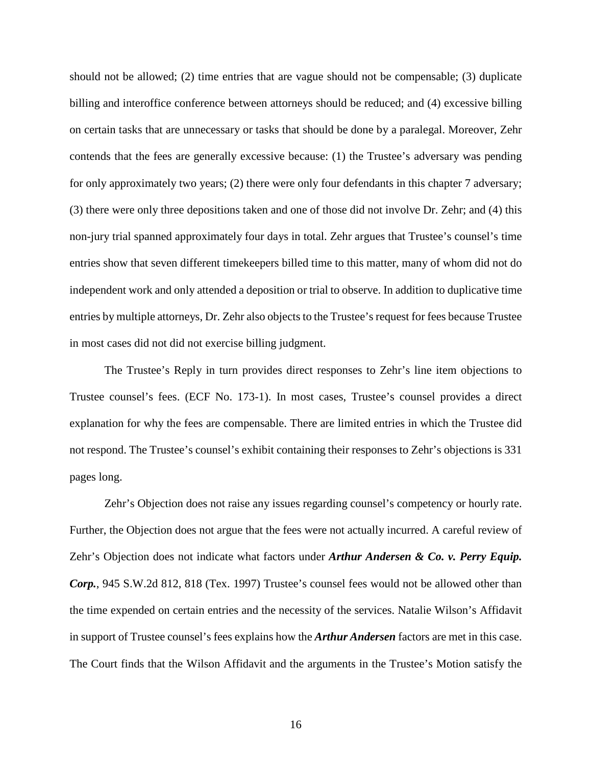should not be allowed; (2) time entries that are vague should not be compensable; (3) duplicate billing and interoffice conference between attorneys should be reduced; and (4) excessive billing on certain tasks that are unnecessary or tasks that should be done by a paralegal. Moreover, Zehr contends that the fees are generally excessive because: (1) the Trustee's adversary was pending for only approximately two years; (2) there were only four defendants in this chapter 7 adversary; (3) there were only three depositions taken and one of those did not involve Dr. Zehr; and (4) this non-jury trial spanned approximately four days in total. Zehr argues that Trustee's counsel's time entries show that seven different timekeepers billed time to this matter, many of whom did not do independent work and only attended a deposition or trial to observe. In addition to duplicative time entries by multiple attorneys, Dr. Zehr also objects to the Trustee's request for fees because Trustee in most cases did not did not exercise billing judgment.

The Trustee's Reply in turn provides direct responses to Zehr's line item objections to Trustee counsel's fees. (ECF No. 173-1). In most cases, Trustee's counsel provides a direct explanation for why the fees are compensable. There are limited entries in which the Trustee did not respond. The Trustee's counsel's exhibit containing their responses to Zehr's objections is 331 pages long.

Zehr's Objection does not raise any issues regarding counsel's competency or hourly rate. Further, the Objection does not argue that the fees were not actually incurred. A careful review of Zehr's Objection does not indicate what factors under *Arthur Andersen & Co. v. Perry Equip. Corp.*, 945 S.W.2d 812, 818 (Tex. 1997) Trustee's counsel fees would not be allowed other than the time expended on certain entries and the necessity of the services. Natalie Wilson's Affidavit in support of Trustee counsel's fees explains how the *Arthur Andersen* factors are met in this case. The Court finds that the Wilson Affidavit and the arguments in the Trustee's Motion satisfy the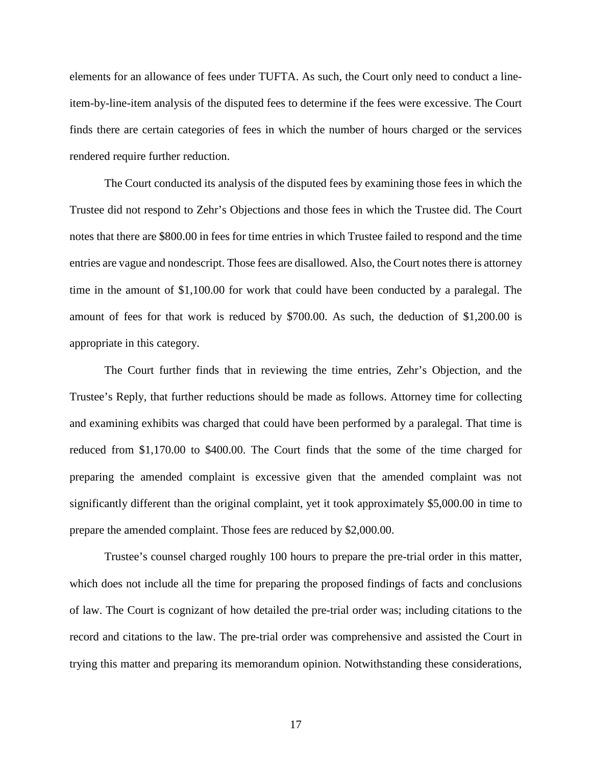elements for an allowance of fees under TUFTA. As such, the Court only need to conduct a lineitem-by-line-item analysis of the disputed fees to determine if the fees were excessive. The Court finds there are certain categories of fees in which the number of hours charged or the services rendered require further reduction.

The Court conducted its analysis of the disputed fees by examining those fees in which the Trustee did not respond to Zehr's Objections and those fees in which the Trustee did. The Court notes that there are \$800.00 in fees for time entries in which Trustee failed to respond and the time entries are vague and nondescript. Those fees are disallowed. Also, the Court notes there is attorney time in the amount of \$1,100.00 for work that could have been conducted by a paralegal. The amount of fees for that work is reduced by \$700.00. As such, the deduction of \$1,200.00 is appropriate in this category.

The Court further finds that in reviewing the time entries, Zehr's Objection, and the Trustee's Reply, that further reductions should be made as follows. Attorney time for collecting and examining exhibits was charged that could have been performed by a paralegal. That time is reduced from \$1,170.00 to \$400.00. The Court finds that the some of the time charged for preparing the amended complaint is excessive given that the amended complaint was not significantly different than the original complaint, yet it took approximately \$5,000.00 in time to prepare the amended complaint. Those fees are reduced by \$2,000.00.

Trustee's counsel charged roughly 100 hours to prepare the pre-trial order in this matter, which does not include all the time for preparing the proposed findings of facts and conclusions of law. The Court is cognizant of how detailed the pre-trial order was; including citations to the record and citations to the law. The pre-trial order was comprehensive and assisted the Court in trying this matter and preparing its memorandum opinion. Notwithstanding these considerations,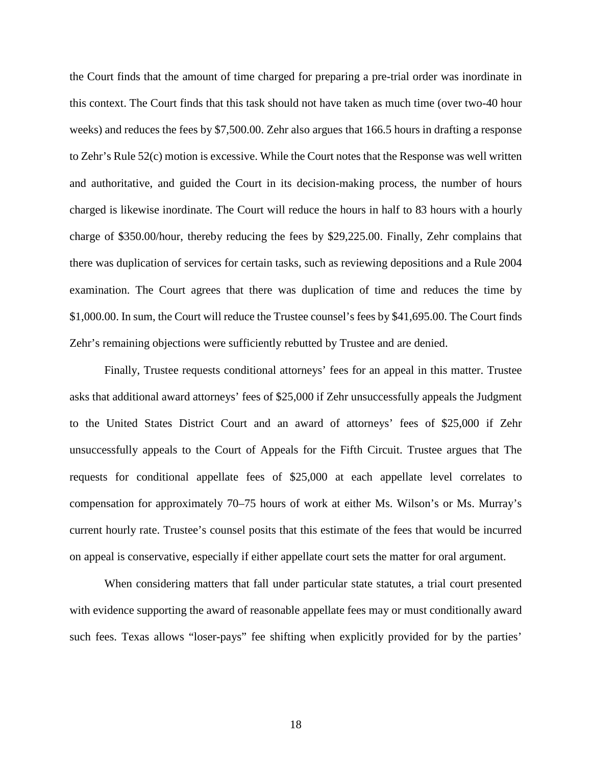the Court finds that the amount of time charged for preparing a pre-trial order was inordinate in this context. The Court finds that this task should not have taken as much time (over two-40 hour weeks) and reduces the fees by \$7,500.00. Zehr also argues that 166.5 hours in drafting a response to Zehr's Rule 52(c) motion is excessive. While the Court notes that the Response was well written and authoritative, and guided the Court in its decision-making process, the number of hours charged is likewise inordinate. The Court will reduce the hours in half to 83 hours with a hourly charge of \$350.00/hour, thereby reducing the fees by \$29,225.00. Finally, Zehr complains that there was duplication of services for certain tasks, such as reviewing depositions and a Rule 2004 examination. The Court agrees that there was duplication of time and reduces the time by \$1,000.00. In sum, the Court will reduce the Trustee counsel's fees by \$41,695.00. The Court finds Zehr's remaining objections were sufficiently rebutted by Trustee and are denied.

Finally, Trustee requests conditional attorneys' fees for an appeal in this matter. Trustee asks that additional award attorneys' fees of \$25,000 if Zehr unsuccessfully appeals the Judgment to the United States District Court and an award of attorneys' fees of \$25,000 if Zehr unsuccessfully appeals to the Court of Appeals for the Fifth Circuit. Trustee argues that The requests for conditional appellate fees of \$25,000 at each appellate level correlates to compensation for approximately 70–75 hours of work at either Ms. Wilson's or Ms. Murray's current hourly rate. Trustee's counsel posits that this estimate of the fees that would be incurred on appeal is conservative, especially if either appellate court sets the matter for oral argument.

When considering matters that fall under particular state statutes, a trial court presented with evidence supporting the award of reasonable appellate fees may or must conditionally award such fees. Texas allows "loser-pays" fee shifting when explicitly provided for by the parties'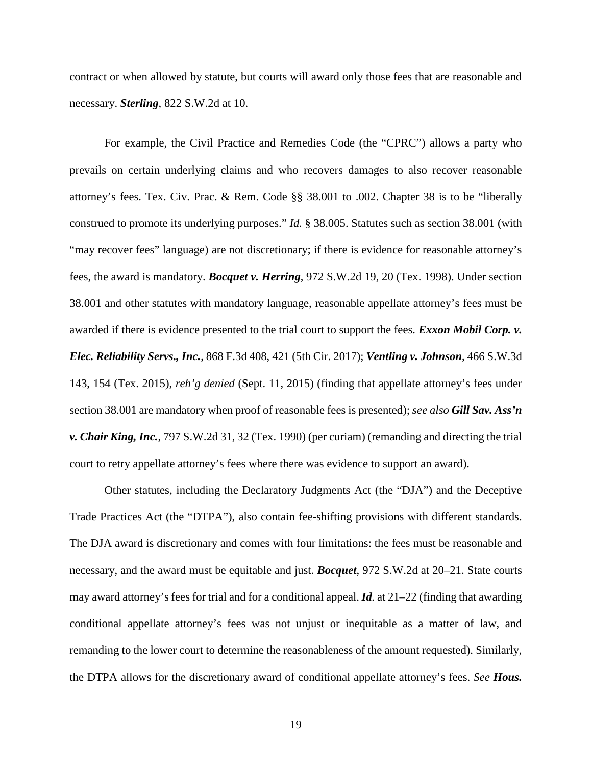contract or when allowed by statute, but courts will award only those fees that are reasonable and necessary. *Sterling*, 822 S.W.2d at 10.

For example, the Civil Practice and Remedies Code (the "CPRC") allows a party who prevails on certain underlying claims and who recovers damages to also recover reasonable attorney's fees. Tex. Civ. Prac. & Rem. Code §§ 38.001 to .002. Chapter 38 is to be "liberally construed to promote its underlying purposes." *Id.* § 38.005. Statutes such as section 38.001 (with "may recover fees" language) are not discretionary; if there is evidence for reasonable attorney's fees, the award is mandatory. *Bocquet v. Herring*, 972 S.W.2d 19, 20 (Tex. 1998). Under section 38.001 and other statutes with mandatory language, reasonable appellate attorney's fees must be awarded if there is evidence presented to the trial court to support the fees. *Exxon Mobil Corp. v. Elec. Reliability Servs., Inc.*, 868 F.3d 408, 421 (5th Cir. 2017); *Ventling v. Johnson*, 466 S.W.3d 143, 154 (Tex. 2015), *reh'g denied* (Sept. 11, 2015) (finding that appellate attorney's fees under section 38.001 are mandatory when proof of reasonable fees is presented); *see also Gill Sav. Ass'n v. Chair King, Inc.*, 797 S.W.2d 31, 32 (Tex. 1990) (per curiam) (remanding and directing the trial court to retry appellate attorney's fees where there was evidence to support an award).

Other statutes, including the Declaratory Judgments Act (the "DJA") and the Deceptive Trade Practices Act (the "DTPA"), also contain fee-shifting provisions with different standards. The DJA award is discretionary and comes with four limitations: the fees must be reasonable and necessary, and the award must be equitable and just. *Bocquet*, 972 S.W.2d at 20–21. State courts may award attorney's fees for trial and for a conditional appeal. *Id.* at 21–22 (finding that awarding conditional appellate attorney's fees was not unjust or inequitable as a matter of law, and remanding to the lower court to determine the reasonableness of the amount requested). Similarly, the DTPA allows for the discretionary award of conditional appellate attorney's fees. *See Hous.*